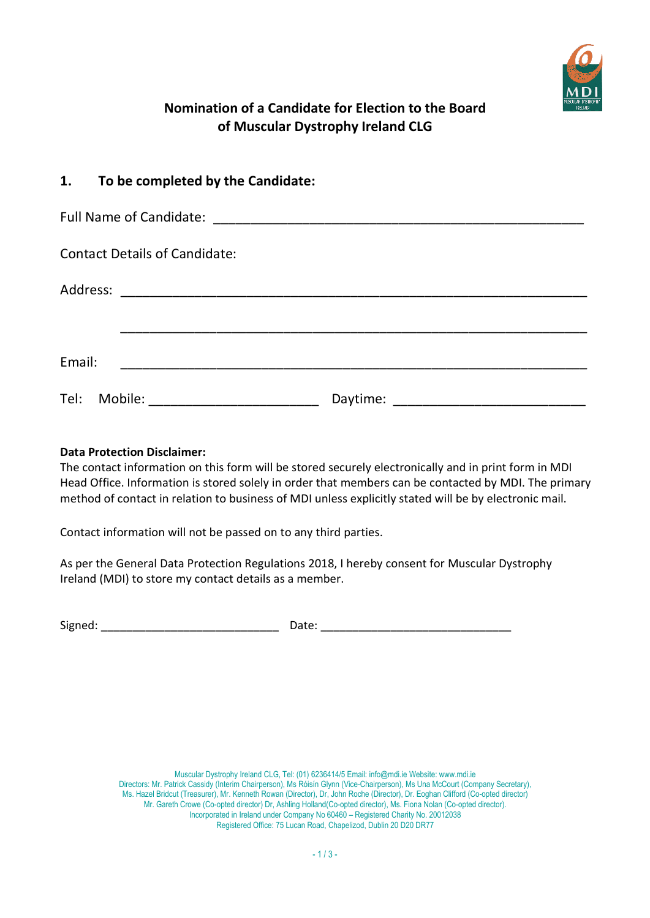

# Nomination of a Candidate for Election to the **Board** of Muscular Dystrophy Ireland **CLG**

| 1. To be completed by the Candidate:                                                                                            |  |
|---------------------------------------------------------------------------------------------------------------------------------|--|
|                                                                                                                                 |  |
| <b>Contact Details of Candidate:</b>                                                                                            |  |
|                                                                                                                                 |  |
| Email:<br><u> 1980 - Antonio Alemania, presidente de la provincia de la provincia de la provincia de la provincia de la pro</u> |  |
| Tel: Mobile:                                                                                                                    |  |

#### Data Protection Disclaimer:

The contact information on this form will be stored securely electronically and in print form in MDI Head Office. Information is stored solely in order that members can be contacted by MDI. The primary method of contact in relation to business of MDI unless explicitly stated will be by electronic mail.

Contact information will not be passed on to any third parties.

As per the General Data Protection Regulations 2018, I hereby consent for Muscular Dystrophy Ireland (MDI) to store my contact details as a member.

Signed: \_\_\_\_\_\_\_\_\_\_\_\_\_\_\_\_\_\_\_\_\_\_\_\_\_\_\_\_ Date: \_\_\_\_\_\_\_\_\_\_\_\_\_\_\_\_\_\_\_\_\_\_\_\_\_\_\_\_\_\_

Muscular Dystrophy Ireland CLG, Tel: (01) 6236414/5 Email: info@mdi.ie Website: www.mdi.ie Directors: Mr. Patrick Cassidy (Interim Chairperson), Ms Róisín Glynn (Vice-Chairperson), Ms Una McCourt (Company Secretary), Ms. Hazel Bridcut (Treasurer), Mr. Kenneth Rowan (Director), Dr, John Roche (Director), Dr. Eoghan Clifford (Co-opted director) Mr. Gareth Crowe (Co-opted director) Dr, Ashling Holland(Co-opted director), Ms. Fiona Nolan (Co-opted director). Incorporated in Ireland under Company No 60460 – Registered Charity No. 20012038 Registered Office: 75 Lucan Road, Chapelizod, Dublin 20 D20 DR77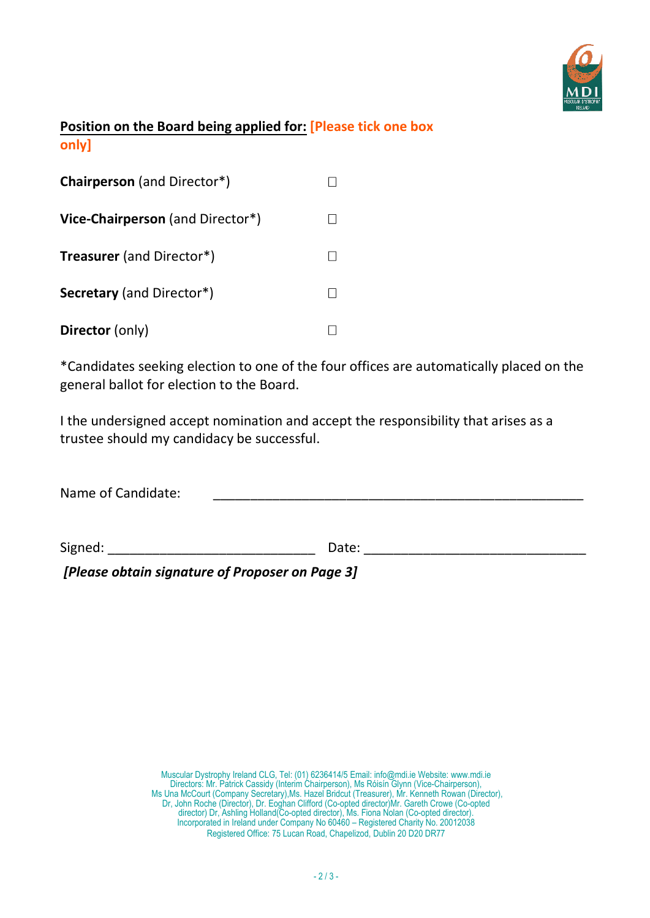

# Position on **the Board** being applied for: **[Please t**ick one box only]

| <b>Chairperson</b> (and Director*) |  |
|------------------------------------|--|
| Vice-Chairperson (and Director*)   |  |
| <b>Treasurer</b> (and Director*)   |  |
| <b>Secretary</b> (and Director*)   |  |
| <b>Director</b> (only)             |  |

\*Candidates seeking election to one of the four offices are automatically placed on the general ballot for election to the Board.

I the undersigned accept nomination and accept the responsibility that arises as a trustee should my candidacy be successful.

| Name of Candidate: |       |  |
|--------------------|-------|--|
|                    |       |  |
| Signed:            | Date: |  |

[Please obtain signature of Proposer on Page 3]